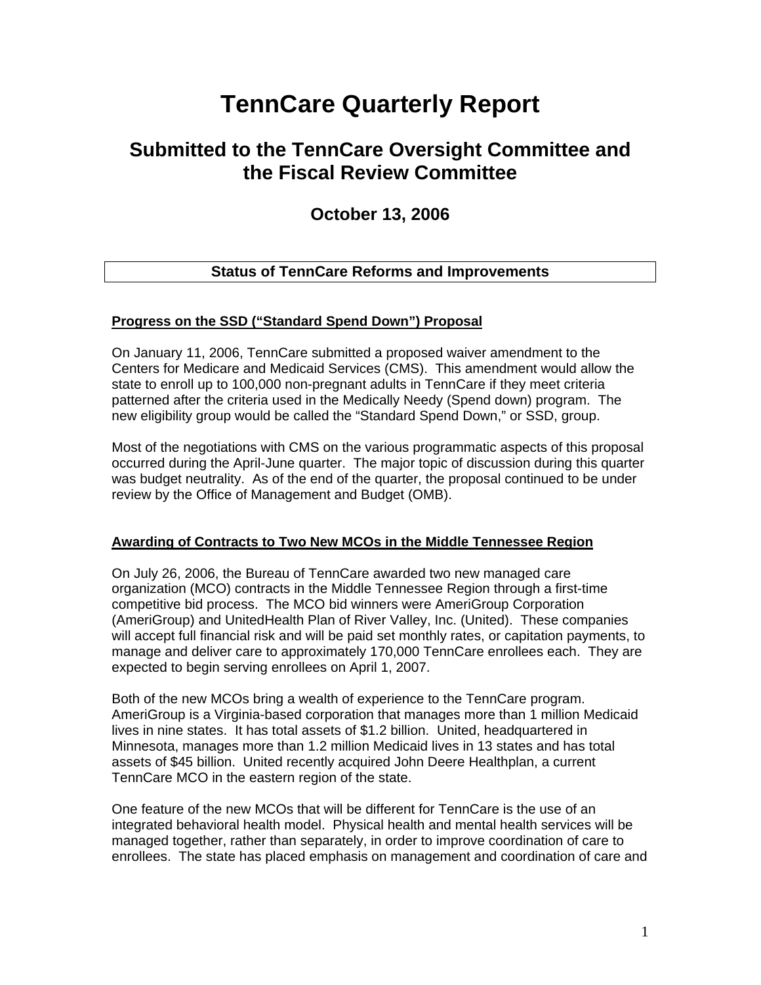# **TennCare Quarterly Report**

# **Submitted to the TennCare Oversight Committee and the Fiscal Review Committee**

# **October 13, 2006**

# **Status of TennCare Reforms and Improvements**

#### **Progress on the SSD ("Standard Spend Down") Proposal**

On January 11, 2006, TennCare submitted a proposed waiver amendment to the Centers for Medicare and Medicaid Services (CMS). This amendment would allow the state to enroll up to 100,000 non-pregnant adults in TennCare if they meet criteria patterned after the criteria used in the Medically Needy (Spend down) program. The new eligibility group would be called the "Standard Spend Down," or SSD, group.

Most of the negotiations with CMS on the various programmatic aspects of this proposal occurred during the April-June quarter. The major topic of discussion during this quarter was budget neutrality. As of the end of the quarter, the proposal continued to be under review by the Office of Management and Budget (OMB).

#### **Awarding of Contracts to Two New MCOs in the Middle Tennessee Region**

On July 26, 2006, the Bureau of TennCare awarded two new managed care organization (MCO) contracts in the Middle Tennessee Region through a first-time competitive bid process. The MCO bid winners were AmeriGroup Corporation (AmeriGroup) and UnitedHealth Plan of River Valley, Inc. (United). These companies will accept full financial risk and will be paid set monthly rates, or capitation payments, to manage and deliver care to approximately 170,000 TennCare enrollees each. They are expected to begin serving enrollees on April 1, 2007.

Both of the new MCOs bring a wealth of experience to the TennCare program. AmeriGroup is a Virginia-based corporation that manages more than 1 million Medicaid lives in nine states. It has total assets of \$1.2 billion. United, headquartered in Minnesota, manages more than 1.2 million Medicaid lives in 13 states and has total assets of \$45 billion. United recently acquired John Deere Healthplan, a current TennCare MCO in the eastern region of the state.

One feature of the new MCOs that will be different for TennCare is the use of an integrated behavioral health model. Physical health and mental health services will be managed together, rather than separately, in order to improve coordination of care to enrollees. The state has placed emphasis on management and coordination of care and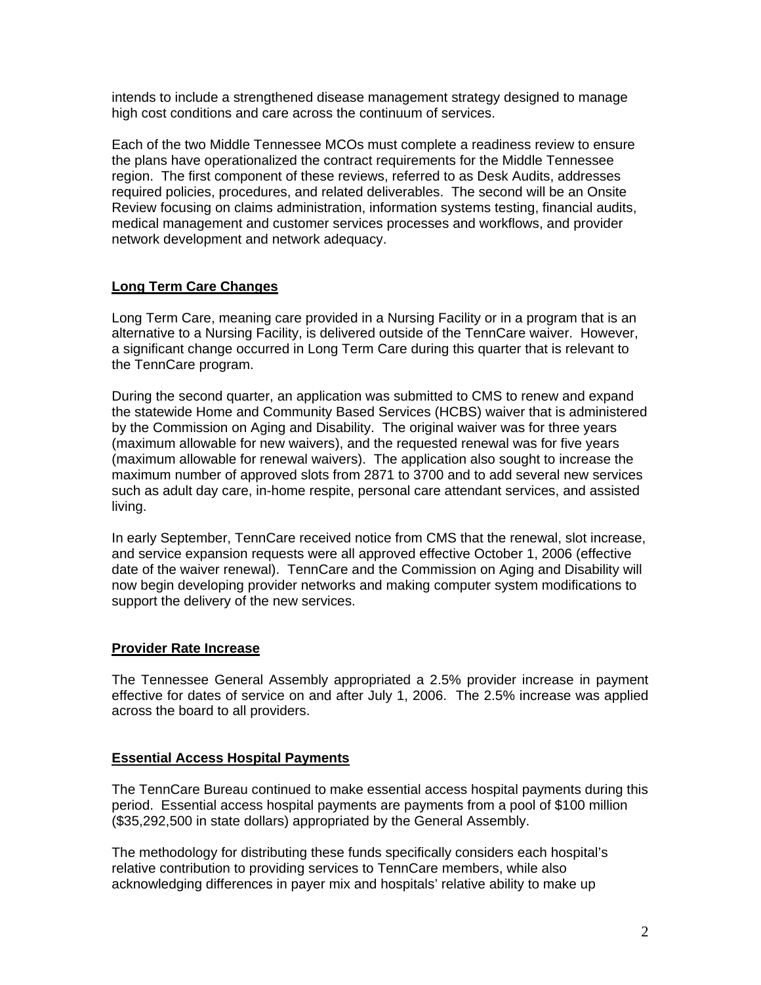intends to include a strengthened disease management strategy designed to manage high cost conditions and care across the continuum of services.

Each of the two Middle Tennessee MCOs must complete a readiness review to ensure the plans have operationalized the contract requirements for the Middle Tennessee region. The first component of these reviews, referred to as Desk Audits, addresses required policies, procedures, and related deliverables. The second will be an Onsite Review focusing on claims administration, information systems testing, financial audits, medical management and customer services processes and workflows, and provider network development and network adequacy.

## **Long Term Care Changes**

Long Term Care, meaning care provided in a Nursing Facility or in a program that is an alternative to a Nursing Facility, is delivered outside of the TennCare waiver. However, a significant change occurred in Long Term Care during this quarter that is relevant to the TennCare program.

During the second quarter, an application was submitted to CMS to renew and expand the statewide Home and Community Based Services (HCBS) waiver that is administered by the Commission on Aging and Disability. The original waiver was for three years (maximum allowable for new waivers), and the requested renewal was for five years (maximum allowable for renewal waivers). The application also sought to increase the maximum number of approved slots from 2871 to 3700 and to add several new services such as adult day care, in-home respite, personal care attendant services, and assisted living.

In early September, TennCare received notice from CMS that the renewal, slot increase, and service expansion requests were all approved effective October 1, 2006 (effective date of the waiver renewal). TennCare and the Commission on Aging and Disability will now begin developing provider networks and making computer system modifications to support the delivery of the new services.

#### **Provider Rate Increase**

The Tennessee General Assembly appropriated a 2.5% provider increase in payment effective for dates of service on and after July 1, 2006. The 2.5% increase was applied across the board to all providers.

#### **Essential Access Hospital Payments**

 The TennCare Bureau continued to make essential access hospital payments during this period. Essential access hospital payments are payments from a pool of \$100 million (\$35,292,500 in state dollars) appropriated by the General Assembly.

The methodology for distributing these funds specifically considers each hospital's relative contribution to providing services to TennCare members, while also acknowledging differences in payer mix and hospitals' relative ability to make up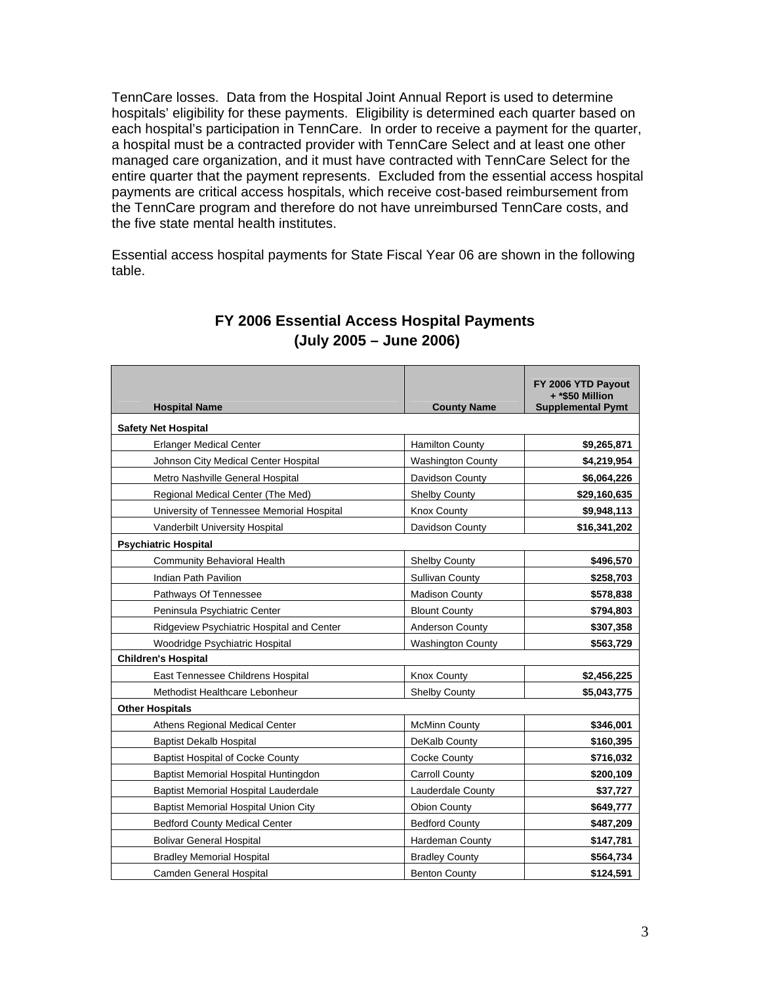TennCare losses. Data from the Hospital Joint Annual Report is used to determine hospitals' eligibility for these payments. Eligibility is determined each quarter based on each hospital's participation in TennCare. In order to receive a payment for the quarter, a hospital must be a contracted provider with TennCare Select and at least one other managed care organization, and it must have contracted with TennCare Select for the entire quarter that the payment represents. Excluded from the essential access hospital payments are critical access hospitals, which receive cost-based reimbursement from the TennCare program and therefore do not have unreimbursed TennCare costs, and the five state mental health institutes.

Essential access hospital payments for State Fiscal Year 06 are shown in the following table.

| <b>Hospital Name</b>                        | <b>County Name</b>       |              |
|---------------------------------------------|--------------------------|--------------|
| <b>Safety Net Hospital</b>                  |                          |              |
| <b>Erlanger Medical Center</b>              | <b>Hamilton County</b>   | \$9,265,871  |
| Johnson City Medical Center Hospital        | <b>Washington County</b> | \$4,219,954  |
| Metro Nashville General Hospital            | Davidson County          | \$6,064,226  |
| Regional Medical Center (The Med)           | <b>Shelby County</b>     | \$29,160,635 |
| University of Tennessee Memorial Hospital   | <b>Knox County</b>       | \$9,948,113  |
| Vanderbilt University Hospital              | Davidson County          | \$16,341,202 |
| <b>Psychiatric Hospital</b>                 |                          |              |
| <b>Community Behavioral Health</b>          | <b>Shelby County</b>     | \$496,570    |
| Indian Path Pavilion                        | <b>Sullivan County</b>   | \$258,703    |
| Pathways Of Tennessee                       | <b>Madison County</b>    | \$578,838    |
| Peninsula Psychiatric Center                | <b>Blount County</b>     | \$794,803    |
| Ridgeview Psychiatric Hospital and Center   | <b>Anderson County</b>   | \$307,358    |
| Woodridge Psychiatric Hospital              | <b>Washington County</b> | \$563,729    |
| <b>Children's Hospital</b>                  |                          |              |
| East Tennessee Childrens Hospital           | <b>Knox County</b>       | \$2,456,225  |
| Methodist Healthcare Lebonheur              | <b>Shelby County</b>     | \$5,043,775  |
| <b>Other Hospitals</b>                      |                          |              |
| Athens Regional Medical Center              | <b>McMinn County</b>     | \$346,001    |
| <b>Baptist Dekalb Hospital</b>              | DeKalb County            | \$160,395    |
| <b>Baptist Hospital of Cocke County</b>     | Cocke County             | \$716,032    |
| Baptist Memorial Hospital Huntingdon        | <b>Carroll County</b>    | \$200,109    |
| Baptist Memorial Hospital Lauderdale        | Lauderdale County        | \$37,727     |
| <b>Baptist Memorial Hospital Union City</b> | <b>Obion County</b>      | \$649,777    |
| <b>Bedford County Medical Center</b>        | <b>Bedford County</b>    | \$487,209    |
| <b>Bolivar General Hospital</b>             | <b>Hardeman County</b>   | \$147,781    |
| <b>Bradley Memorial Hospital</b>            | <b>Bradley County</b>    | \$564,734    |
| Camden General Hospital                     | <b>Benton County</b>     | \$124,591    |

# **FY 2006 Essential Access Hospital Payments (July 2005 – June 2006)**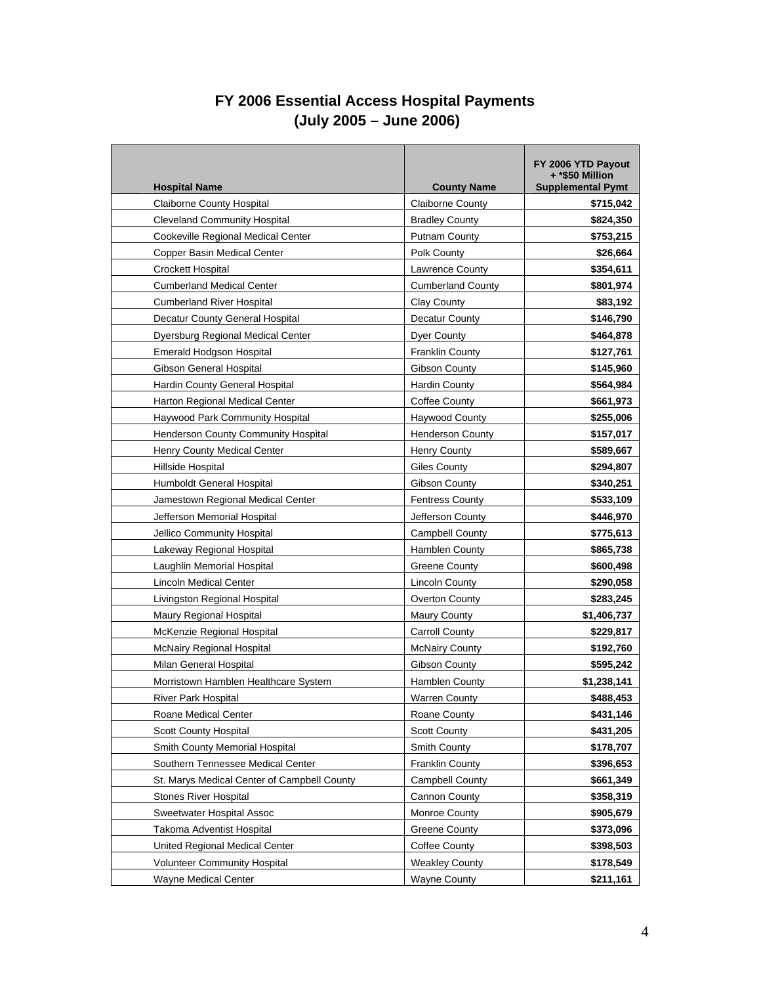# **FY 2006 Essential Access Hospital Payments (July 2005 – June 2006)**

| <b>Hospital Name</b>                        | <b>County Name</b>       | FY 2006 YTD Payout<br>+ *\$50 Million<br><b>Supplemental Pymt</b> |
|---------------------------------------------|--------------------------|-------------------------------------------------------------------|
| <b>Claiborne County Hospital</b>            | <b>Claiborne County</b>  | \$715,042                                                         |
| <b>Cleveland Community Hospital</b>         | <b>Bradley County</b>    | \$824,350                                                         |
| Cookeville Regional Medical Center          | <b>Putnam County</b>     | \$753,215                                                         |
| Copper Basin Medical Center                 | Polk County              | \$26,664                                                          |
| <b>Crockett Hospital</b>                    | <b>Lawrence County</b>   | \$354,611                                                         |
| <b>Cumberland Medical Center</b>            | <b>Cumberland County</b> | \$801,974                                                         |
| <b>Cumberland River Hospital</b>            | Clay County              | \$83,192                                                          |
| Decatur County General Hospital             | Decatur County           | \$146,790                                                         |
| Dyersburg Regional Medical Center           | <b>Dyer County</b>       | \$464,878                                                         |
| <b>Emerald Hodgson Hospital</b>             | <b>Franklin County</b>   | \$127,761                                                         |
| Gibson General Hospital                     | Gibson County            | \$145,960                                                         |
| Hardin County General Hospital              | <b>Hardin County</b>     | \$564,984                                                         |
| Harton Regional Medical Center              | Coffee County            | \$661,973                                                         |
| Haywood Park Community Hospital             | <b>Haywood County</b>    | \$255,006                                                         |
| Henderson County Community Hospital         | <b>Henderson County</b>  | \$157,017                                                         |
| Henry County Medical Center                 | <b>Henry County</b>      | \$589,667                                                         |
| Hillside Hospital                           | <b>Giles County</b>      | \$294,807                                                         |
| Humboldt General Hospital                   | Gibson County            | \$340,251                                                         |
| Jamestown Regional Medical Center           | <b>Fentress County</b>   | \$533,109                                                         |
| Jefferson Memorial Hospital                 | Jefferson County         | \$446,970                                                         |
| Jellico Community Hospital                  | <b>Campbell County</b>   | \$775,613                                                         |
| Lakeway Regional Hospital                   | Hamblen County           | \$865,738                                                         |
| Laughlin Memorial Hospital                  | Greene County            | \$600,498                                                         |
| <b>Lincoln Medical Center</b>               | <b>Lincoln County</b>    | \$290,058                                                         |
| Livingston Regional Hospital                | Overton County           | \$283,245                                                         |
| Maury Regional Hospital                     | <b>Maury County</b>      | \$1,406,737                                                       |
| McKenzie Regional Hospital                  | <b>Carroll County</b>    | \$229,817                                                         |
| <b>McNairy Regional Hospital</b>            | <b>McNairy County</b>    | \$192,760                                                         |
| Milan General Hospital                      | Gibson County            | \$595,242                                                         |
| Morristown Hamblen Healthcare System        | Hamblen County           | \$1,238,141                                                       |
| <b>River Park Hospital</b>                  | <b>Warren County</b>     | \$488,453                                                         |
| Roane Medical Center                        | Roane County             | \$431,146                                                         |
| <b>Scott County Hospital</b>                | <b>Scott County</b>      | \$431,205                                                         |
| Smith County Memorial Hospital              | Smith County             | \$178,707                                                         |
| Southern Tennessee Medical Center           | <b>Franklin County</b>   | \$396,653                                                         |
| St. Marys Medical Center of Campbell County | <b>Campbell County</b>   | \$661,349                                                         |
| <b>Stones River Hospital</b>                | Cannon County            | \$358,319                                                         |
| Sweetwater Hospital Assoc                   | Monroe County            | \$905,679                                                         |
| Takoma Adventist Hospital                   | Greene County            | \$373,096                                                         |
| United Regional Medical Center              | Coffee County            | \$398,503                                                         |
| <b>Volunteer Community Hospital</b>         | <b>Weakley County</b>    | \$178,549                                                         |
| <b>Wayne Medical Center</b>                 | <b>Wayne County</b>      | \$211,161                                                         |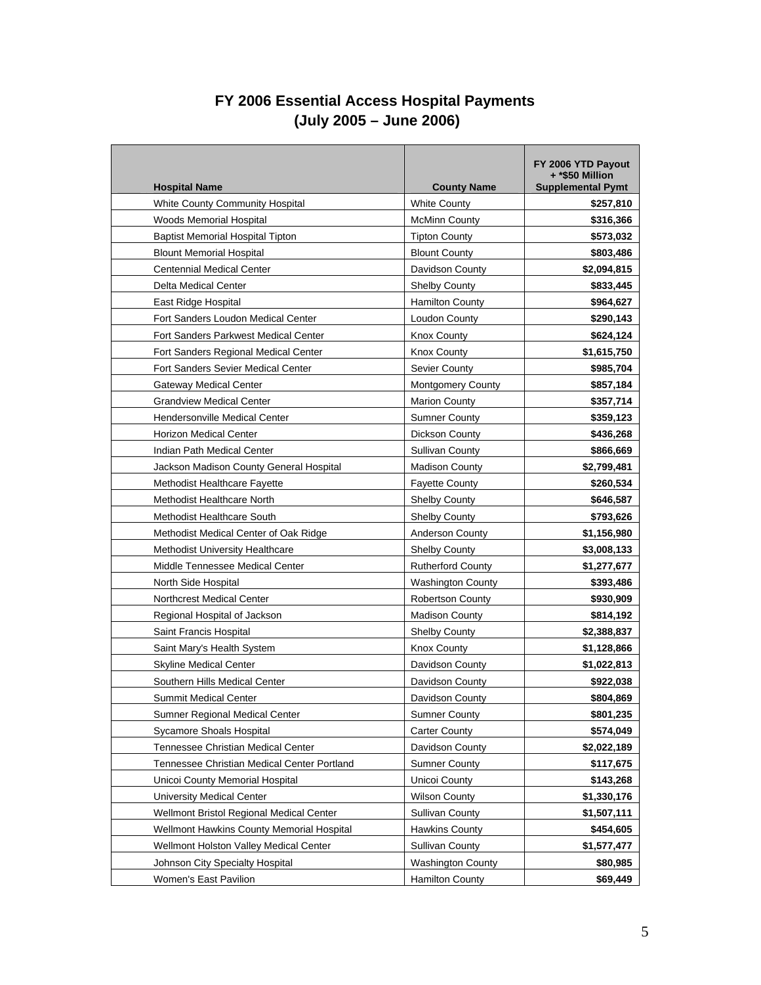# **FY 2006 Essential Access Hospital Payments (July 2005 – June 2006)**

| <b>Hospital Name</b>                        | <b>County Name</b>       | FY 2006 YTD Payout<br>+ *\$50 Million<br><b>Supplemental Pymt</b> |
|---------------------------------------------|--------------------------|-------------------------------------------------------------------|
| White County Community Hospital             | <b>White County</b>      | \$257,810                                                         |
| Woods Memorial Hospital                     | <b>McMinn County</b>     | \$316,366                                                         |
| <b>Baptist Memorial Hospital Tipton</b>     | <b>Tipton County</b>     | \$573,032                                                         |
| <b>Blount Memorial Hospital</b>             | <b>Blount County</b>     | \$803,486                                                         |
| <b>Centennial Medical Center</b>            | Davidson County          | \$2,094,815                                                       |
| <b>Delta Medical Center</b>                 | <b>Shelby County</b>     | \$833,445                                                         |
| East Ridge Hospital                         | <b>Hamilton County</b>   | \$964,627                                                         |
| Fort Sanders Loudon Medical Center          | Loudon County            | \$290,143                                                         |
| Fort Sanders Parkwest Medical Center        | <b>Knox County</b>       | \$624,124                                                         |
| Fort Sanders Regional Medical Center        | <b>Knox County</b>       | \$1,615,750                                                       |
| <b>Fort Sanders Sevier Medical Center</b>   | Sevier County            | \$985,704                                                         |
| <b>Gateway Medical Center</b>               | Montgomery County        | \$857,184                                                         |
| <b>Grandview Medical Center</b>             | <b>Marion County</b>     | \$357,714                                                         |
| Hendersonville Medical Center               | <b>Sumner County</b>     | \$359,123                                                         |
| <b>Horizon Medical Center</b>               | Dickson County           | \$436,268                                                         |
| Indian Path Medical Center                  | <b>Sullivan County</b>   | \$866,669                                                         |
| Jackson Madison County General Hospital     | <b>Madison County</b>    | \$2,799,481                                                       |
| <b>Methodist Healthcare Fayette</b>         | <b>Fayette County</b>    | \$260,534                                                         |
| Methodist Healthcare North                  | <b>Shelby County</b>     | \$646,587                                                         |
| Methodist Healthcare South                  | Shelby County            | \$793,626                                                         |
| Methodist Medical Center of Oak Ridge       | <b>Anderson County</b>   | \$1,156,980                                                       |
| <b>Methodist University Healthcare</b>      | <b>Shelby County</b>     | \$3,008,133                                                       |
| Middle Tennessee Medical Center             | <b>Rutherford County</b> | \$1,277,677                                                       |
| North Side Hospital                         | <b>Washington County</b> | \$393,486                                                         |
| <b>Northcrest Medical Center</b>            | <b>Robertson County</b>  | \$930,909                                                         |
| Regional Hospital of Jackson                | <b>Madison County</b>    | \$814,192                                                         |
| Saint Francis Hospital                      | Shelby County            | \$2,388,837                                                       |
| Saint Mary's Health System                  | <b>Knox County</b>       | \$1,128,866                                                       |
| <b>Skyline Medical Center</b>               | Davidson County          | \$1,022,813                                                       |
| Southern Hills Medical Center               | Davidson County          | \$922,038                                                         |
| <b>Summit Medical Center</b>                | Davidson County          | \$804.869                                                         |
| Sumner Regional Medical Center              | <b>Sumner County</b>     | \$801,235                                                         |
| Sycamore Shoals Hospital                    | <b>Carter County</b>     | \$574,049                                                         |
| Tennessee Christian Medical Center          | Davidson County          | \$2,022,189                                                       |
| Tennessee Christian Medical Center Portland | <b>Sumner County</b>     | \$117,675                                                         |
| Unicoi County Memorial Hospital             | Unicoi County            | \$143,268                                                         |
| University Medical Center                   | <b>Wilson County</b>     | \$1,330,176                                                       |
| Wellmont Bristol Regional Medical Center    | <b>Sullivan County</b>   | \$1,507,111                                                       |
| Wellmont Hawkins County Memorial Hospital   | <b>Hawkins County</b>    | \$454,605                                                         |
| Wellmont Holston Valley Medical Center      | <b>Sullivan County</b>   | \$1,577,477                                                       |
| Johnson City Specialty Hospital             | <b>Washington County</b> | \$80,985                                                          |
| Women's East Pavilion                       | <b>Hamilton County</b>   | \$69,449                                                          |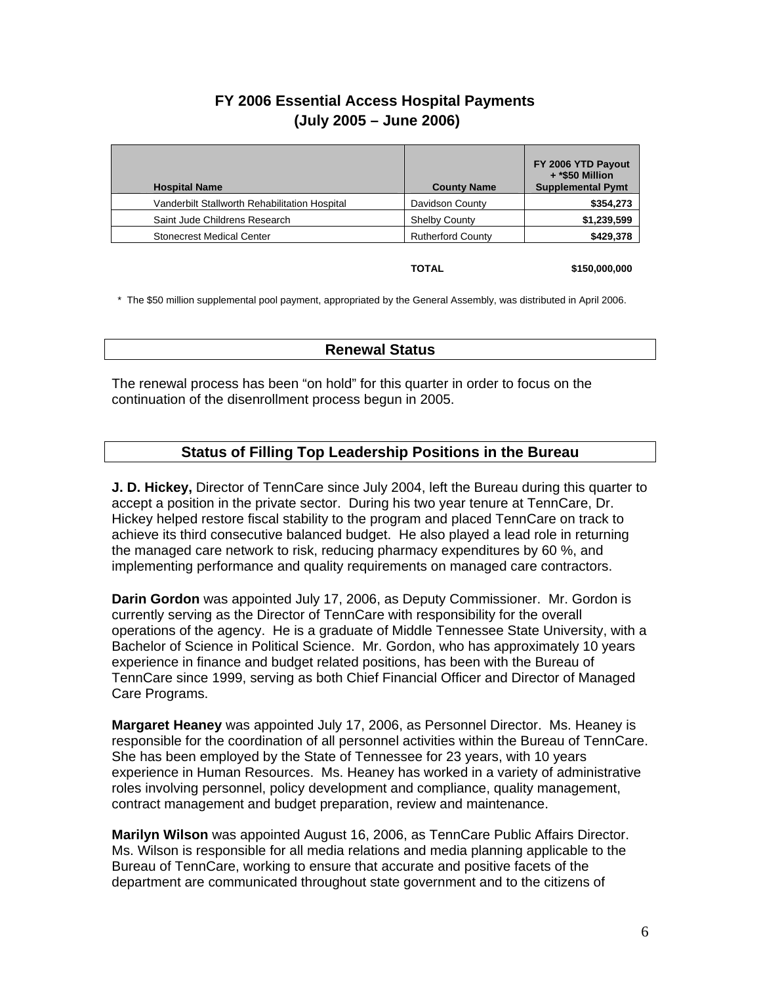# **FY 2006 Essential Access Hospital Payments (July 2005 – June 2006)**

| <b>Hospital Name</b>                          | <b>County Name</b>       | FY 2006 YTD Payout<br>+ *\$50 Million<br><b>Supplemental Pymt</b> |
|-----------------------------------------------|--------------------------|-------------------------------------------------------------------|
| Vanderbilt Stallworth Rehabilitation Hospital | Davidson County          | \$354,273                                                         |
| Saint Jude Childrens Research                 | <b>Shelby County</b>     | \$1,239,599                                                       |
| <b>Stonecrest Medical Center</b>              | <b>Rutherford County</b> | \$429,378                                                         |

**TOTAL \$150,000,000** 

\* The \$50 million supplemental pool payment, appropriated by the General Assembly, was distributed in April 2006.

#### **Renewal Status**

The renewal process has been "on hold" for this quarter in order to focus on the continuation of the disenrollment process begun in 2005.

# **Status of Filling Top Leadership Positions in the Bureau**

**J. D. Hickey,** Director of TennCare since July 2004, left the Bureau during this quarter to accept a position in the private sector. During his two year tenure at TennCare, Dr. Hickey helped restore fiscal stability to the program and placed TennCare on track to achieve its third consecutive balanced budget. He also played a lead role in returning the managed care network to risk, reducing pharmacy expenditures by 60 %, and implementing performance and quality requirements on managed care contractors.

**Darin Gordon** was appointed July 17, 2006, as Deputy Commissioner. Mr. Gordon is currently serving as the Director of TennCare with responsibility for the overall operations of the agency. He is a graduate of Middle Tennessee State University, with a Bachelor of Science in Political Science. Mr. Gordon, who has approximately 10 years experience in finance and budget related positions, has been with the Bureau of TennCare since 1999, serving as both Chief Financial Officer and Director of Managed Care Programs.

**Margaret Heaney** was appointed July 17, 2006, as Personnel Director. Ms. Heaney is responsible for the coordination of all personnel activities within the Bureau of TennCare. She has been employed by the State of Tennessee for 23 years, with 10 years experience in Human Resources. Ms. Heaney has worked in a variety of administrative roles involving personnel, policy development and compliance, quality management, contract management and budget preparation, review and maintenance.

**Marilyn Wilson** was appointed August 16, 2006, as TennCare Public Affairs Director. Ms. Wilson is responsible for all media relations and media planning applicable to the Bureau of TennCare, working to ensure that accurate and positive facets of the department are communicated throughout state government and to the citizens of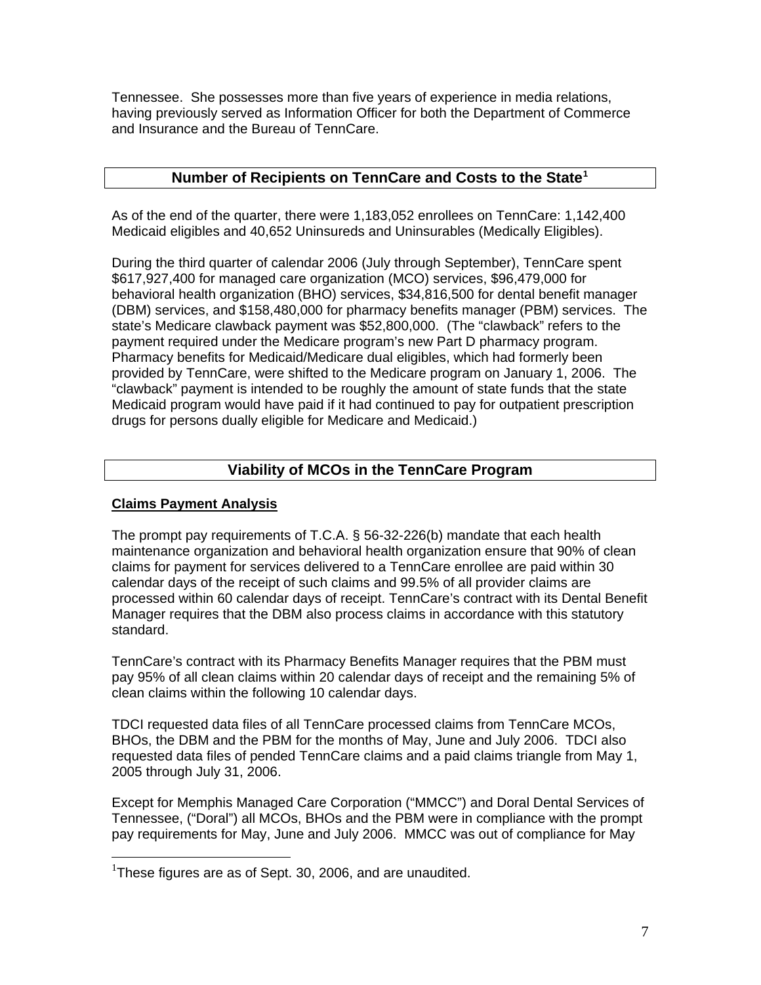Tennessee. She possesses more than five years of experience in media relations, having previously served as Information Officer for both the Department of Commerce and Insurance and the Bureau of TennCare.

## **Number of Recipients on TennCare and Costs to the State[1](#page-6-0)**

As of the end of the quarter, there were 1,183,052 enrollees on TennCare: 1,142,400 Medicaid eligibles and 40,652 Uninsureds and Uninsurables (Medically Eligibles).

During the third quarter of calendar 2006 (July through September), TennCare spent \$617,927,400 for managed care organization (MCO) services, \$96,479,000 for behavioral health organization (BHO) services, \$34,816,500 for dental benefit manager (DBM) services, and \$158,480,000 for pharmacy benefits manager (PBM) services. The state's Medicare clawback payment was \$52,800,000. (The "clawback" refers to the payment required under the Medicare program's new Part D pharmacy program. Pharmacy benefits for Medicaid/Medicare dual eligibles, which had formerly been provided by TennCare, were shifted to the Medicare program on January 1, 2006. The "clawback" payment is intended to be roughly the amount of state funds that the state Medicaid program would have paid if it had continued to pay for outpatient prescription drugs for persons dually eligible for Medicare and Medicaid.)

# **Viability of MCOs in the TennCare Program**

#### **Claims Payment Analysis**

The prompt pay requirements of T.C.A. § 56-32-226(b) mandate that each health maintenance organization and behavioral health organization ensure that 90% of clean claims for payment for services delivered to a TennCare enrollee are paid within 30 calendar days of the receipt of such claims and 99.5% of all provider claims are processed within 60 calendar days of receipt. TennCare's contract with its Dental Benefit Manager requires that the DBM also process claims in accordance with this statutory standard.

TennCare's contract with its Pharmacy Benefits Manager requires that the PBM must pay 95% of all clean claims within 20 calendar days of receipt and the remaining 5% of clean claims within the following 10 calendar days.

TDCI requested data files of all TennCare processed claims from TennCare MCOs, BHOs, the DBM and the PBM for the months of May, June and July 2006. TDCI also requested data files of pended TennCare claims and a paid claims triangle from May 1, 2005 through July 31, 2006.

Except for Memphis Managed Care Corporation ("MMCC") and Doral Dental Services of Tennessee, ("Doral") all MCOs, BHOs and the PBM were in compliance with the prompt pay requirements for May, June and July 2006. MMCC was out of compliance for May

<span id="page-6-0"></span> 1 These figures are as of Sept. 30, 2006, and are unaudited.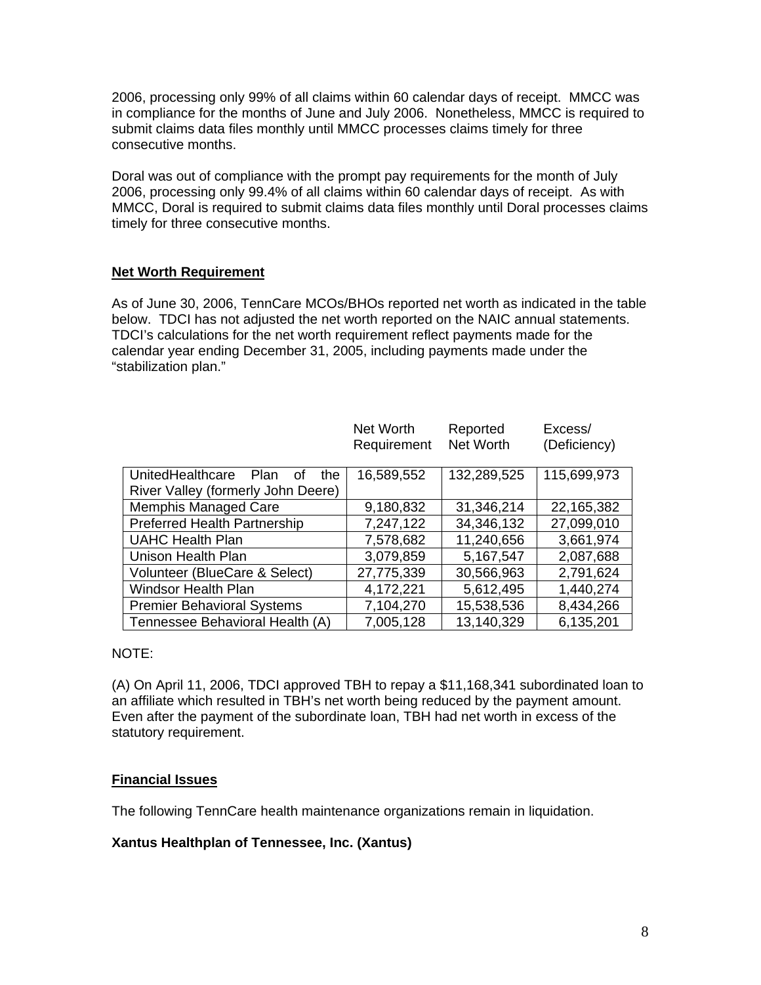2006, processing only 99% of all claims within 60 calendar days of receipt. MMCC was in compliance for the months of June and July 2006. Nonetheless, MMCC is required to submit claims data files monthly until MMCC processes claims timely for three consecutive months.

Doral was out of compliance with the prompt pay requirements for the month of July 2006, processing only 99.4% of all claims within 60 calendar days of receipt. As with MMCC, Doral is required to submit claims data files monthly until Doral processes claims timely for three consecutive months.

#### **Net Worth Requirement**

As of June 30, 2006, TennCare MCOs/BHOs reported net worth as indicated in the table below. TDCI has not adjusted the net worth reported on the NAIC annual statements. TDCI's calculations for the net worth requirement reflect payments made for the calendar year ending December 31, 2005, including payments made under the "stabilization plan."

|                                       | Net Worth<br>Requirement | Reported<br>Net Worth | Excess/<br>(Deficiency) |
|---------------------------------------|--------------------------|-----------------------|-------------------------|
|                                       |                          |                       |                         |
| UnitedHealthcare<br>Plan<br>the<br>οf | 16,589,552               | 132,289,525           | 115,699,973             |
| River Valley (formerly John Deere)    |                          |                       |                         |
| <b>Memphis Managed Care</b>           | 9,180,832                | 31,346,214            | 22,165,382              |
| <b>Preferred Health Partnership</b>   | 7,247,122                | 34,346,132            | 27,099,010              |
| <b>UAHC Health Plan</b>               | 7,578,682                | 11,240,656            | 3,661,974               |
| Unison Health Plan                    | 3,079,859                | 5,167,547             | 2,087,688               |
| Volunteer (BlueCare & Select)         | 27,775,339               | 30,566,963            | 2,791,624               |
| <b>Windsor Health Plan</b>            | 4,172,221                | 5,612,495             | 1,440,274               |
| <b>Premier Behavioral Systems</b>     | 7,104,270                | 15,538,536            | 8,434,266               |
| Tennessee Behavioral Health (A)       | 7,005,128                | 13,140,329            | 6,135,201               |

#### NOTE:

(A) On April 11, 2006, TDCI approved TBH to repay a \$11,168,341 subordinated loan to an affiliate which resulted in TBH's net worth being reduced by the payment amount. Even after the payment of the subordinate loan, TBH had net worth in excess of the statutory requirement.

#### **Financial Issues**

The following TennCare health maintenance organizations remain in liquidation.

#### **Xantus Healthplan of Tennessee, Inc. (Xantus)**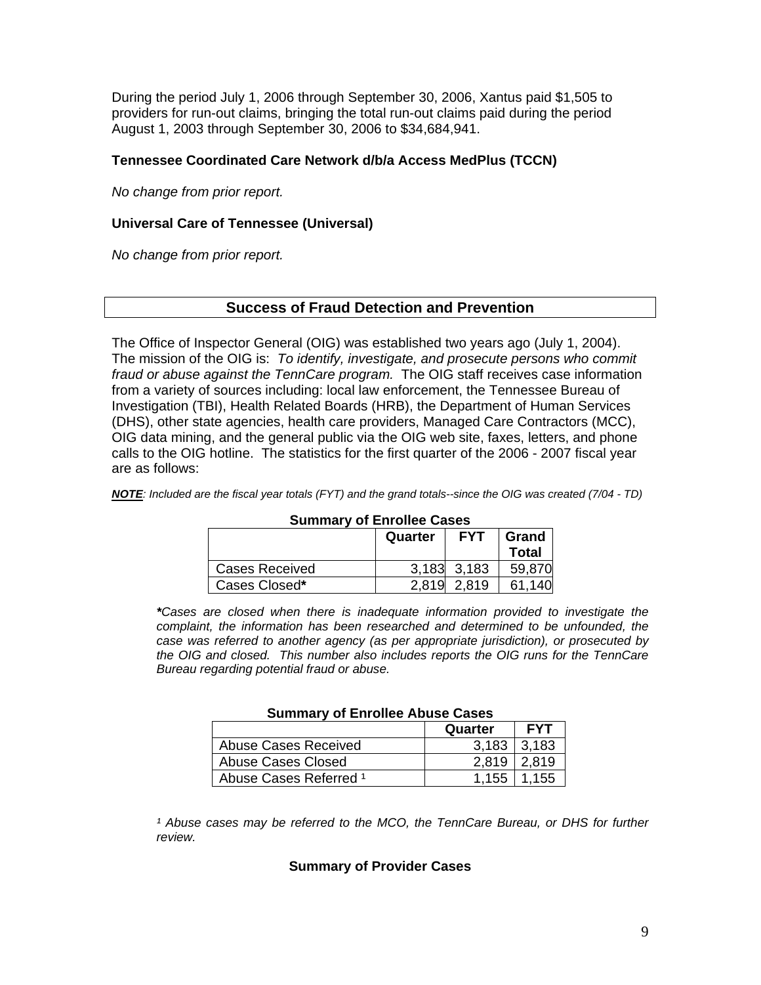During the period July 1, 2006 through September 30, 2006, Xantus paid \$1,505 to providers for run-out claims, bringing the total run-out claims paid during the period August 1, 2003 through September 30, 2006 to \$34,684,941.

#### **Tennessee Coordinated Care Network d/b/a Access MedPlus (TCCN)**

*No change from prior report.* 

#### **Universal Care of Tennessee (Universal)**

*No change from prior report.* 

#### **Success of Fraud Detection and Prevention**

The Office of Inspector General (OIG) was established two years ago (July 1, 2004). The mission of the OIG is: *To identify, investigate, and prosecute persons who commit fraud or abuse against the TennCare program.* The OIG staff receives case information from a variety of sources including: local law enforcement, the Tennessee Bureau of Investigation (TBI), Health Related Boards (HRB), the Department of Human Services (DHS), other state agencies, health care providers, Managed Care Contractors (MCC), OIG data mining, and the general public via the OIG web site, faxes, letters, and phone calls to the OIG hotline. The statistics for the first quarter of the 2006 - 2007 fiscal year are as follows:

*NOTE: Included are the fiscal year totals (FYT) and the grand totals--since the OIG was created (7/04 - TD)* 

| <b>UUIIIIIIIIIIII UI LIIIUILUU UUJUJ</b> |         |                 |        |
|------------------------------------------|---------|-----------------|--------|
|                                          | Quarter | Grand           |        |
|                                          |         |                 | Total  |
| <b>Cases Received</b>                    |         | $3,183$ $3,183$ | 59,870 |
| Cases Closed*                            | 2,819   | 2.819           | 61,140 |

#### **Summary of Enrollee Cases**

*\*Cases are closed when there is inadequate information provided to investigate the complaint, the information has been researched and determined to be unfounded, the case was referred to another agency (as per appropriate jurisdiction), or prosecuted by the OIG and closed. This number also includes reports the OIG runs for the TennCare Bureau regarding potential fraud or abuse.* 

| Summary of Enrollee Abuse Cases   |                 |                   |  |
|-----------------------------------|-----------------|-------------------|--|
| <b>FYT</b><br>Quarter             |                 |                   |  |
| <b>Abuse Cases Received</b>       |                 | $3.183 \pm 3.183$ |  |
| Abuse Cases Closed                | $2.819$   2.819 |                   |  |
| Abuse Cases Referred <sup>1</sup> |                 | 1.155   1.155     |  |

#### **Summary of Enrollee Abuse Cases**

<sup>1</sup> Abuse cases may be referred to the MCO, the TennCare Bureau, or DHS for further *review.* 

#### **Summary of Provider Cases**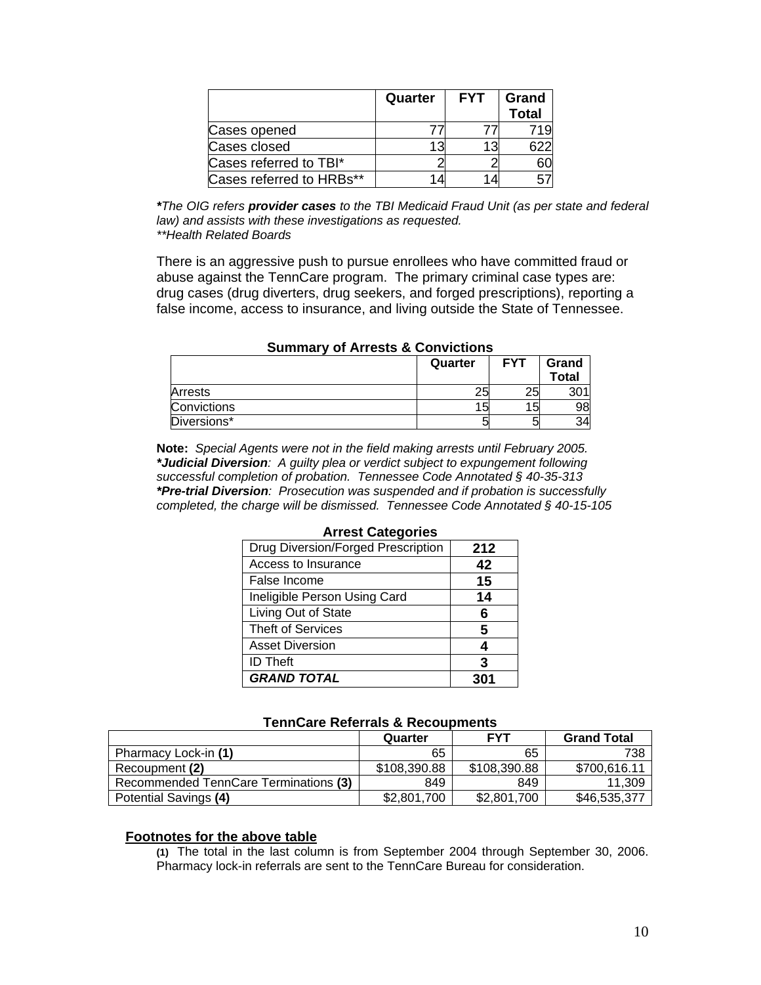|                          | Quarter | <b>FYT</b> | Grand<br><b>Total</b> |
|--------------------------|---------|------------|-----------------------|
| Cases opened             |         |            |                       |
| Cases closed             | 13      |            |                       |
| Cases referred to TBI*   |         |            |                       |
| Cases referred to HRBs** | 4       |            |                       |

*\*The OIG refers provider cases to the TBI Medicaid Fraud Unit (as per state and federal law) and assists with these investigations as requested. \*\*Health Related Boards* 

 There is an aggressive push to pursue enrollees who have committed fraud or abuse against the TennCare program. The primary criminal case types are: drug cases (drug diverters, drug seekers, and forged prescriptions), reporting a false income, access to insurance, and living outside the State of Tennessee.

| <u>UUIIIIIUI VULAITUJUU UUUIVIUUIJ</u> |    |    |    |  |
|----------------------------------------|----|----|----|--|
| <b>FYT</b><br>Quarter                  |    |    |    |  |
| Arrests                                | 25 | 25 |    |  |
| Convictions                            | 15 | 15 | 98 |  |
| Diversions*                            |    |    |    |  |

#### **Summary of Arrests & Convictions**

**Note:** *Special Agents were not in the field making arrests until February 2005. \*Judicial Diversion: A guilty plea or verdict subject to expungement following successful completion of probation. Tennessee Code Annotated § 40-35-313 \*Pre-trial Diversion: Prosecution was suspended and if probation is successfully completed, the charge will be dismissed. Tennessee Code Annotated § 40-15-105* 

| AHVUL VULUYUHVU |  |  |
|-----------------|--|--|
| 212             |  |  |
| 42              |  |  |
| 15              |  |  |
| 14              |  |  |
| 6               |  |  |
| 5               |  |  |
|                 |  |  |
| 3               |  |  |
|                 |  |  |
|                 |  |  |

#### **Arrest Categories**

#### **TennCare Referrals & Recoupments**

|                                       | Quarter      | <b>FYT</b>   | <b>Grand Total</b> |  |
|---------------------------------------|--------------|--------------|--------------------|--|
| Pharmacy Lock-in (1)                  | 65           | 65           | 738                |  |
| Recoupment (2)                        | \$108,390.88 | \$108,390.88 | \$700.616.11       |  |
| Recommended TennCare Terminations (3) | 849          | 849          | 11.309             |  |
| Potential Savings (4)                 | \$2,801,700  | \$2,801,700  | \$46,535,377       |  |

#### **Footnotes for the above table**

 **(1)** The total in the last column is from September 2004 through September 30, 2006. Pharmacy lock-in referrals are sent to the TennCare Bureau for consideration.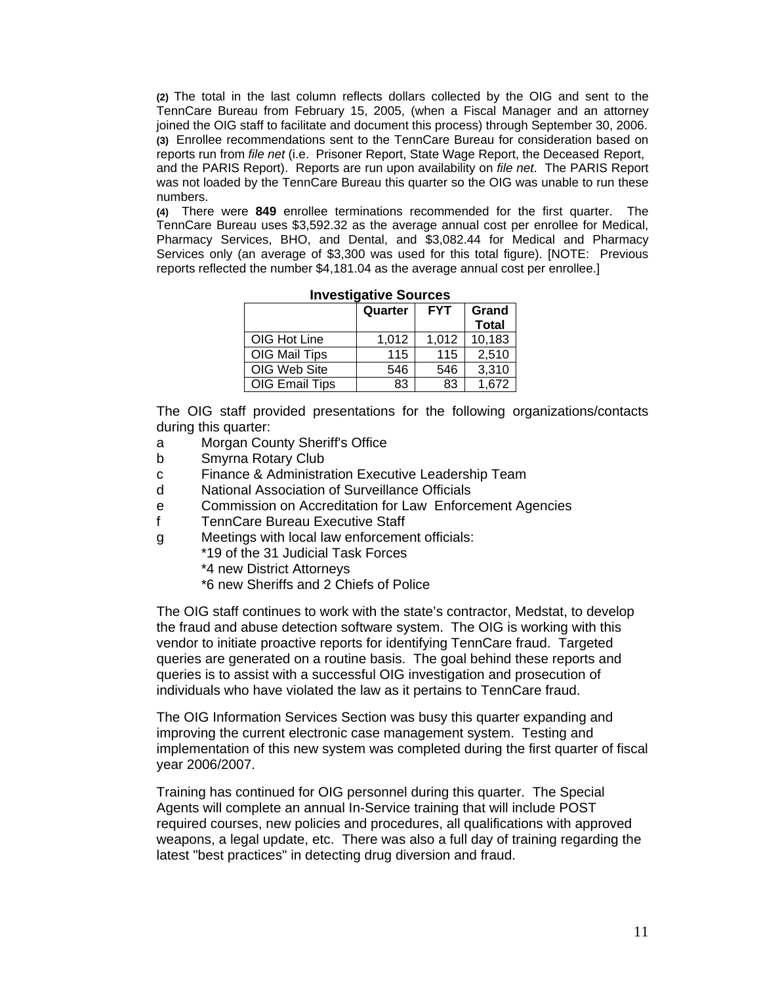**(2)** The total in the last column reflects dollars collected by the OIG and sent to the TennCare Bureau from February 15, 2005, (when a Fiscal Manager and an attorney joined the OIG staff to facilitate and document this process) through September 30, 2006. **(3)** Enrollee recommendations sent to the TennCare Bureau for consideration based on reports run from *file net* (i.e. Prisoner Report, State Wage Report, the Deceased Report, and the PARIS Report). Reports are run upon availability on *file net*. The PARIS Report was not loaded by the TennCare Bureau this quarter so the OIG was unable to run these numbers.

**(4)** There were **849** enrollee terminations recommended for the first quarter. The TennCare Bureau uses \$3,592.32 as the average annual cost per enrollee for Medical, Pharmacy Services, BHO, and Dental, and \$3,082.44 for Medical and Pharmacy Services only (an average of \$3,300 was used for this total figure). [NOTE: Previous reports reflected the number \$4,181.04 as the average annual cost per enrollee.]

|                       | Quarter | <b>FYT</b> | Grand        |  |
|-----------------------|---------|------------|--------------|--|
|                       |         |            | <b>Total</b> |  |
| OIG Hot Line          | 1,012   | 1,012      | 10,183       |  |
| OIG Mail Tips         | 115     | 115        | 2,510        |  |
| OIG Web Site          | 546     | 546        | 3,310        |  |
| <b>OIG Email Tips</b> | 83      | 83         | 1,672        |  |

**Investigative Sources** 

 The OIG staff provided presentations for the following organizations/contacts during this quarter:

- a Morgan County Sheriff's Office
- b Smyrna Rotary Club
- c Finance & Administration Executive Leadership Team
- d National Association of Surveillance Officials
- e Commission on Accreditation for Law Enforcement Agencies
- f TennCare Bureau Executive Staff
- g Meetings with local law enforcement officials:

\*19 of the 31 Judicial Task Forces

- \*4 new District Attorneys
- \*6 new Sheriffs and 2 Chiefs of Police

 The OIG staff continues to work with the state's contractor, Medstat, to develop the fraud and abuse detection software system. The OIG is working with this vendor to initiate proactive reports for identifying TennCare fraud. Targeted queries are generated on a routine basis. The goal behind these reports and queries is to assist with a successful OIG investigation and prosecution of individuals who have violated the law as it pertains to TennCare fraud.

 The OIG Information Services Section was busy this quarter expanding and improving the current electronic case management system. Testing and implementation of this new system was completed during the first quarter of fiscal year 2006/2007.

 Training has continued for OIG personnel during this quarter. The Special Agents will complete an annual In-Service training that will include POST required courses, new policies and procedures, all qualifications with approved weapons, a legal update, etc. There was also a full day of training regarding the latest "best practices" in detecting drug diversion and fraud.